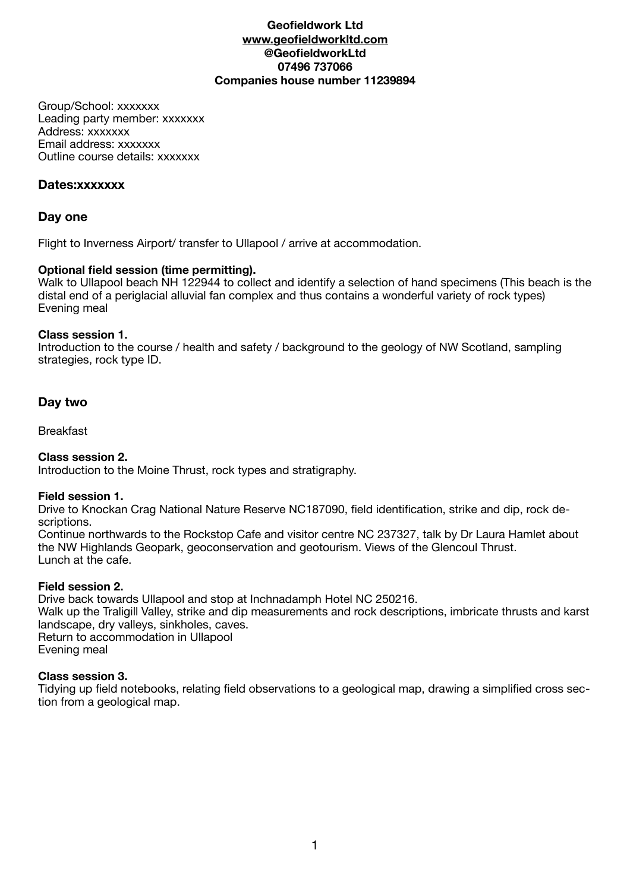### **Geofieldwork Ltd [www.geofieldworkltd.com](http://www.geofieldworkltd.com) @GeofieldworkLtd 07496 737066 Companies house number 11239894**

Group/School: xxxxxxx Leading party member: xxxxxxx Address: xxxxxxx Email address: xxxxxxx Outline course details: xxxxxxx

### **Dates:xxxxxxx**

## **Day one**

Flight to Inverness Airport/ transfer to Ullapool / arrive at accommodation.

### **Optional field session (time permitting).**

Walk to Ullapool beach NH 122944 to collect and identify a selection of hand specimens (This beach is the distal end of a periglacial alluvial fan complex and thus contains a wonderful variety of rock types) Evening meal

### **Class session 1.**

Introduction to the course / health and safety / background to the geology of NW Scotland, sampling strategies, rock type ID.

## **Day two**

Breakfast

## **Class session 2.**

Introduction to the Moine Thrust, rock types and stratigraphy.

### **Field session 1.**

Drive to Knockan Crag National Nature Reserve NC187090, field identification, strike and dip, rock descriptions.

Continue northwards to the Rockstop Cafe and visitor centre NC 237327, talk by Dr Laura Hamlet about the NW Highlands Geopark, geoconservation and geotourism. Views of the Glencoul Thrust. Lunch at the cafe.

### **Field session 2.**

Drive back towards Ullapool and stop at Inchnadamph Hotel NC 250216. Walk up the Traligill Valley, strike and dip measurements and rock descriptions, imbricate thrusts and karst landscape, dry valleys, sinkholes, caves. Return to accommodation in Ullapool Evening meal

## **Class session 3.**

Tidying up field notebooks, relating field observations to a geological map, drawing a simplified cross section from a geological map.